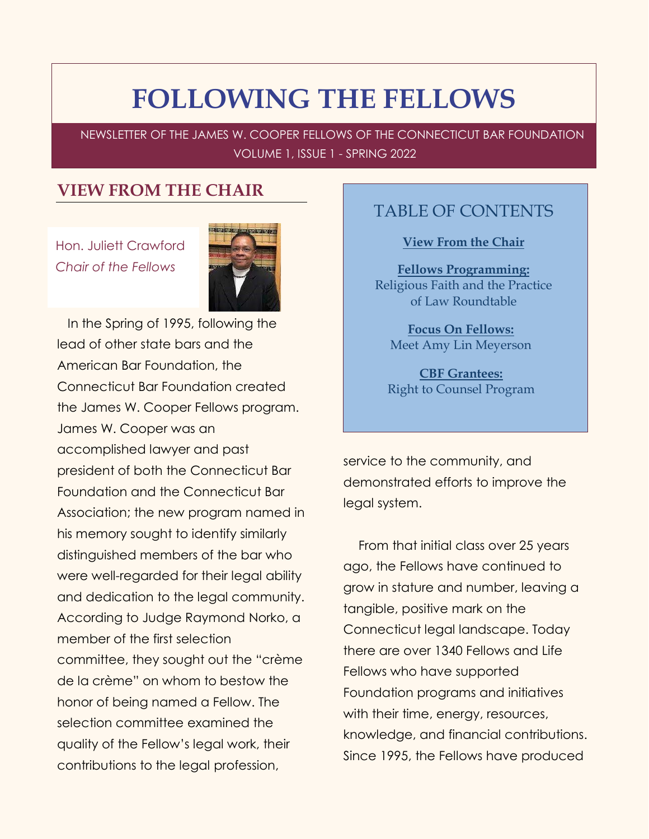# **FOLLOWING THE FELLOWS**

NEWSLETTER OF THE JAMES W. COOPER FELLOWS OF THE CONNECTICUT BAR FOUNDATION VOLUME 1, ISSUE 1 - SPRING 2022

#### <span id="page-0-0"></span>**VIEW FROM THE CHAIR**

Hon. Juliett Crawford *Chair of the Fellows*



In the Spring of 1995, following the lead of other state bars and the American Bar Foundation, the Connecticut Bar Foundation created the James W. Cooper Fellows program. James W. Cooper was an accomplished lawyer and past president of both the Connecticut Bar Foundation and the Connecticut Bar Association; the new program named in his memory sought to identify similarly distinguished members of the bar who were well-regarded for their legal ability and dedication to the legal community. According to Judge Raymond Norko, a member of the first selection committee, they sought out the "crème de la crème" on whom to bestow the honor of being named a Fellow. The selection committee examined the quality of the Fellow's legal work, their contributions to the legal profession,

#### TABLE OF CONTENTS

**[View From the Chair](#page-0-0)**

**[Fellows Programming:](#page-2-0)** Rel[igious Faith and](#page-2-0) the Practice [of Law Roundtable](#page-2-0)

**[Focus On Fellows:](#page-5-0)** [Meet Amy Lin Meyerson](#page-5-0)

**[CBF Grantees:](#page-10-0)** [Right to Counsel Program](#page-10-0)

service to the community, and demonstrated efforts to improve the legal system.

From that initial class over 25 years ago, the Fellows have continued to grow in stature and number, leaving a tangible, positive mark on the Connecticut legal landscape. Today there are over 1340 Fellows and Life Fellows who have supported Foundation programs and initiatives with their time, energy, resources, knowledge, and financial contributions. Since 1995, the Fellows have produced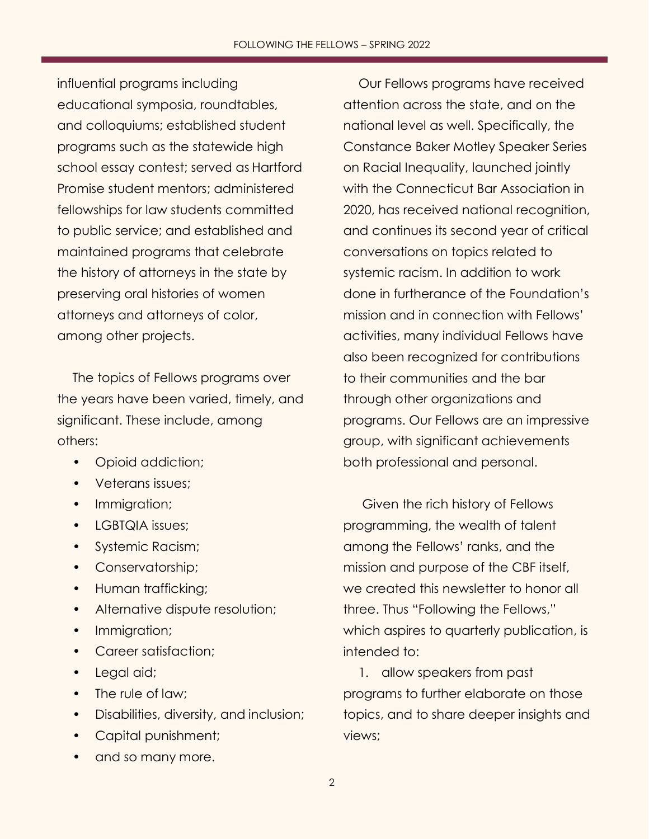influential programs including educational symposia, roundtables, and colloquiums; established student programs such as the statewide high school essay contest; served as Hartford Promise student mentors; administered fellowships for law students committed to public service; and established and maintained programs that celebrate the history of attorneys in the state by preserving oral histories of women attorneys and attorneys of color, among other projects.

The topics of Fellows programs over the years have been varied, timely, and significant. These include, among others:

- Opioid addiction;
- Veterans issues;
- Immigration;
- LGBTQIA issues;
- Systemic Racism;
- Conservatorship;
- Human trafficking;
- Alternative dispute resolution;
- Immigration;
- Career satisfaction;
- Legal aid;
- The rule of law;
- Disabilities, diversity, and inclusion;
- Capital punishment;
- and so many more.

Our Fellows programs have received attention across the state, and on the national level as well. Specifically, the Constance Baker Motley Speaker Series on Racial Inequality, launched jointly with the Connecticut Bar Association in 2020, has received national recognition, and continues its second year of critical conversations on topics related to systemic racism. In addition to work done in furtherance of the Foundation's mission and in connection with Fellows' activities, many individual Fellows have also been recognized for contributions to their communities and the bar through other organizations and programs. Our Fellows are an impressive group, with significant achievements both professional and personal.

Given the rich history of Fellows programming, the wealth of talent among the Fellows' ranks, and the mission and purpose of the CBF itself, we created this newsletter to honor all three. Thus "Following the Fellows," which aspires to quarterly publication, is intended to:

1. allow speakers from past programs to further elaborate on those topics, and to share deeper insights and views;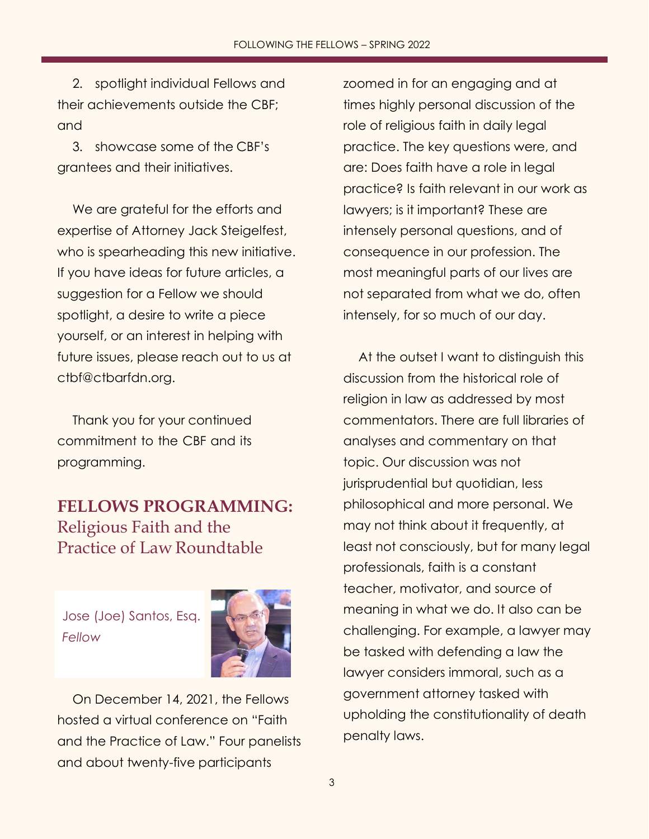2. spotlight individual Fellows and their achievements outside the CBF; and

3. showcase some of the CBF's grantees and their initiatives.

We are grateful for the efforts and expertise of Attorney Jack Steigelfest, who is spearheading this new initiative. If you have ideas for future articles, a suggestion for a Fellow we should spotlight, a desire to write a piece yourself, or an interest in helping with future issues, please reach out to us a[t](mailto:ctbf@ctbarfdn.org) [ctbf@ctbarfdn.org.](mailto:ctbf@ctbarfdn.org)

Thank you for your continued commitment to the CBF and its programming.

# <span id="page-2-0"></span>**FELLOWS PROGRAMMING:** Religious Faith and the Practice of Law Roundtable

Jose (Joe) Santos, Esq. *Fellow*



On December 14, 2021, the Fellows hosted a virtual conference on "Faith and the Practice of Law." Four panelists and about twenty-five participants

zoomed in for an engaging and at times highly personal discussion of the role of religious faith in daily legal practice. The key questions were, and are: Does faith have a role in legal practice? Is faith relevant in our work as lawyers; is it important? These are intensely personal questions, and of consequence in our profession. The most meaningful parts of our lives are not separated from what we do, often intensely, for so much of our day.

At the outset I want to distinguish this discussion from the historical role of religion in law as addressed by most commentators. There are full libraries of analyses and commentary on that topic. Our discussion was not jurisprudential but quotidian, less philosophical and more personal. We may not think about it frequently, at least not consciously, but for many legal professionals, faith is a constant teacher, motivator, and source of meaning in what we do. It also can be challenging. For example, a lawyer may be tasked with defending a law the lawyer considers immoral, such as a government attorney tasked with upholding the constitutionality of death penalty laws.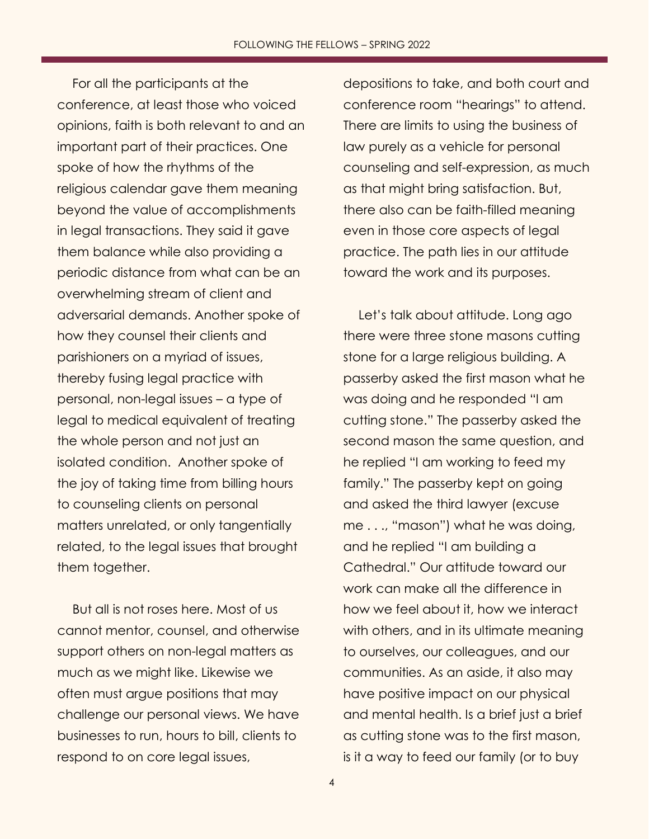For all the participants at the conference, at least those who voiced opinions, faith is both relevant to and an important part of their practices. One spoke of how the rhythms of the religious calendar gave them meaning beyond the value of accomplishments in legal transactions. They said it gave them balance while also providing a periodic distance from what can be an overwhelming stream of client and adversarial demands. Another spoke of how they counsel their clients and parishioners on a myriad of issues, thereby fusing legal practice with personal, non-legal issues – a type of legal to medical equivalent of treating the whole person and not just an isolated condition. Another spoke of the joy of taking time from billing hours to counseling clients on personal matters unrelated, or only tangentially related, to the legal issues that brought them together.

But all is not roses here. Most of us cannot mentor, counsel, and otherwise support others on non-legal matters as much as we might like. Likewise we often must argue positions that may challenge our personal views. We have businesses to run, hours to bill, clients to respond to on core legal issues,

depositions to take, and both court and conference room "hearings" to attend. There are limits to using the business of law purely as a vehicle for personal counseling and self-expression, as much as that might bring satisfaction. But, there also can be faith-filled meaning even in those core aspects of legal practice. The path lies in our attitude toward the work and its purposes.

Let's talk about attitude. Long ago there were three stone masons cutting stone for a large religious building. A passerby asked the first mason what he was doing and he responded "I am cutting stone." The passerby asked the second mason the same question, and he replied "I am working to feed my family." The passerby kept on going and asked the third lawyer (excuse me . . ., "mason") what he was doing, and he replied "I am building a Cathedral." Our attitude toward our work can make all the difference in how we feel about it, how we interact with others, and in its ultimate meaning to ourselves, our colleagues, and our communities. As an aside, it also may have positive impact on our physical and mental health. Is a brief just a brief as cutting stone was to the first mason, is it a way to feed our family (or to buy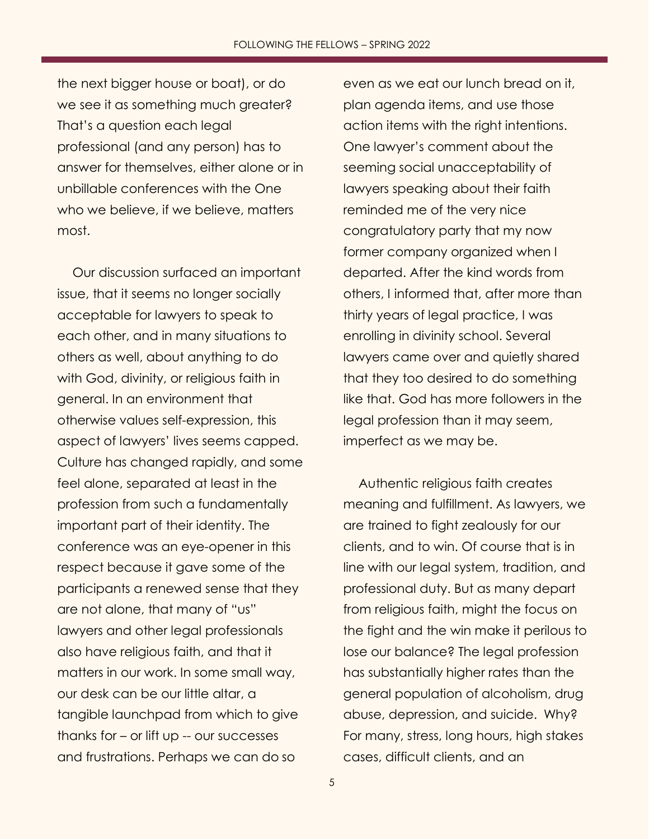the next bigger house or boat), or do we see it as something much greater? That's a question each legal professional (and any person) has to answer for themselves, either alone or in unbillable conferences with the One who we believe, if we believe, matters most.

Our discussion surfaced an important issue, that it seems no longer socially acceptable for lawyers to speak to each other, and in many situations to others as well, about anything to do with God, divinity, or religious faith in general. In an environment that otherwise values self-expression, this aspect of lawyers' lives seems capped. Culture has changed rapidly, and some feel alone, separated at least in the profession from such a fundamentally important part of their identity. The conference was an eye-opener in this respect because it gave some of the participants a renewed sense that they are not alone, that many of "us" lawyers and other legal professionals also have religious faith, and that it matters in our work. In some small way, our desk can be our little altar, a tangible launchpad from which to give thanks for – or lift up -- our successes and frustrations. Perhaps we can do so

even as we eat our lunch bread on it, plan agenda items, and use those action items with the right intentions. One lawyer's comment about the seeming social unacceptability of lawyers speaking about their faith reminded me of the very nice congratulatory party that my now former company organized when I departed. After the kind words from others, I informed that, after more than thirty years of legal practice, I was enrolling in divinity school. Several lawyers came over and quietly shared that they too desired to do something like that. God has more followers in the legal profession than it may seem, imperfect as we may be.

Authentic religious faith creates meaning and fulfillment. As lawyers, we are trained to fight zealously for our clients, and to win. Of course that is in line with our legal system, tradition, and professional duty. But as many depart from religious faith, might the focus on the fight and the win make it perilous to lose our balance? The legal profession has substantially higher rates than the general population of alcoholism, drug abuse, depression, and suicide. Why? For many, stress, long hours, high stakes cases, difficult clients, and an

5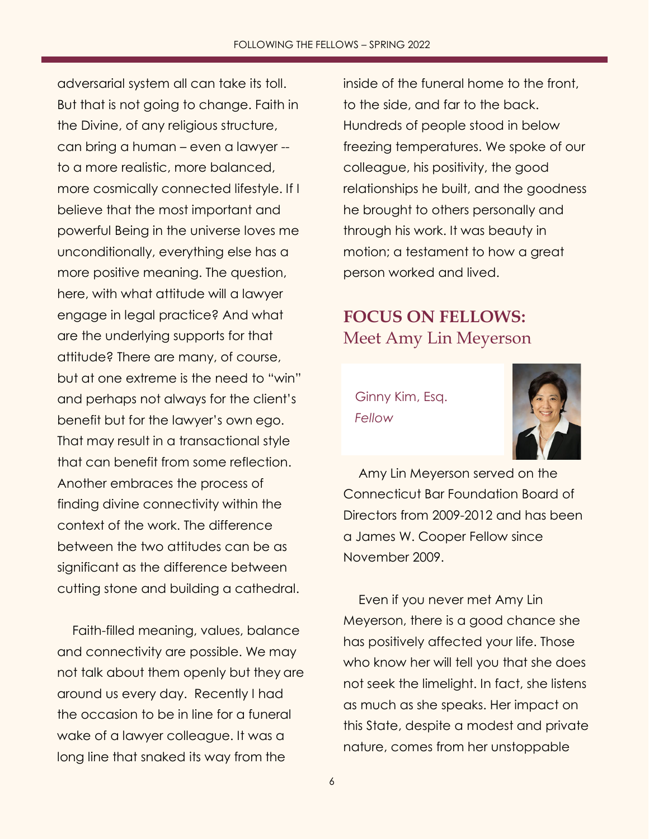adversarial system all can take its toll. But that is not going to change. Faith in the Divine, of any religious structure, can bring a human – even a lawyer - to a more realistic, more balanced, more cosmically connected lifestyle. If I believe that the most important and powerful Being in the universe loves me unconditionally, everything else has a more positive meaning. The question, here, with what attitude will a lawyer engage in legal practice? And what are the underlying supports for that attitude? There are many, of course, but at one extreme is the need to "win" and perhaps not always for the client's benefit but for the lawyer's own ego. That may result in a transactional style that can benefit from some reflection. Another embraces the process of finding divine connectivity within the context of the work. The difference between the two attitudes can be as significant as the difference between cutting stone and building a cathedral.

Faith-filled meaning, values, balance and connectivity are possible. We may not talk about them openly but they are around us every day. Recently I had the occasion to be in line for a funeral wake of a lawyer colleague. It was a long line that snaked its way from the

inside of the funeral home to the front, to the side, and far to the back. Hundreds of people stood in below freezing temperatures. We spoke of our colleague, his positivity, the good relationships he built, and the goodness he brought to others personally and through his work. It was beauty in motion; a testament to how a great person worked and lived.

## <span id="page-5-0"></span>**FOCUS ON FELLOWS:** Meet Amy Lin Meyerson

Ginny Kim, Esq. *Fellow*



Amy Lin Meyerson served on the Connecticut Bar Foundation Board of Directors from 2009-2012 and has been a James W. Cooper Fellow since November 2009.

Even if you never met Amy Lin Meyerson, there is a good chance she has positively affected your life. Those who know her will tell you that she does not seek the limelight. In fact, she listens as much as she speaks. Her impact on this State, despite a modest and private nature, comes from her unstoppable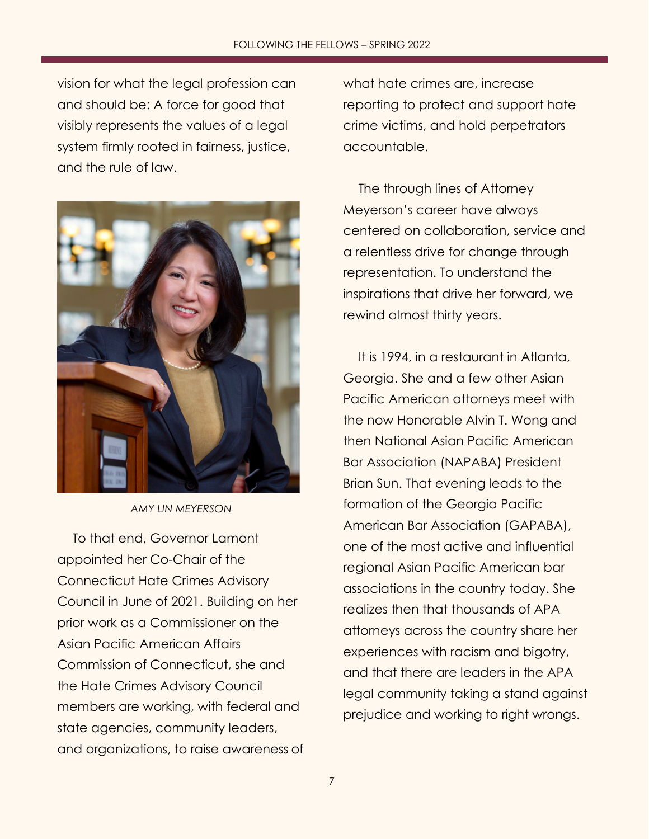vision for what the legal profession can and should be: A force for good that visibly represents the values of a legal system firmly rooted in fairness, justice, and the rule of law.



*AMY LIN MEYERSON*

To that end, Governor Lamont appointed her Co-Chair of the Connecticut Hate Crimes Advisory Council in June of 2021. Building on her prior work as a Commissioner on the Asian Pacific American Affairs Commission of Connecticut, she and the Hate Crimes Advisory Council members are working, with federal and state agencies, community leaders, and organizations, to raise awareness of

what hate crimes are, increase reporting to protect and support hate crime victims, and hold perpetrators accountable.

The through lines of Attorney Meyerson's career have always centered on collaboration, service and a relentless drive for change through representation. To understand the inspirations that drive her forward, we rewind almost thirty years.

It is 1994, in a restaurant in Atlanta, Georgia. She and a few other Asian Pacific American attorneys meet with the now Honorable Alvin T. Wong and then National Asian Pacific American Bar Association (NAPABA) President Brian Sun. That evening leads to the formation of the Georgia Pacific American Bar Association (GAPABA), one of the most active and influential regional Asian Pacific American bar associations in the country today. She realizes then that thousands of APA attorneys across the country share her experiences with racism and bigotry, and that there are leaders in the APA legal community taking a stand against prejudice and working to right wrongs.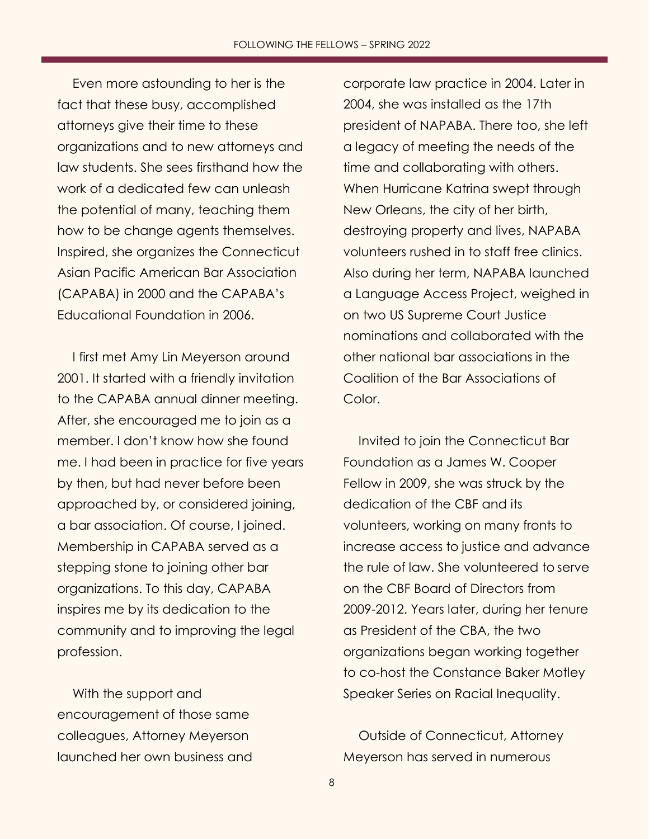Even more astounding to her is the fact that these busy, accomplished attorneys give their time to these organizations and to new attorneys and law students. She sees firsthand how the work of a dedicated few can unleash the potential of many, teaching them how to be change agents themselves. Inspired, she organizes the Connecticut Asian Pacific American Bar Association (CAPABA) in 2000 and the CAPABA's Educational Foundation in 2006.

I first met Amy Lin Meyerson around 2001. It started with a friendly invitation to the CAPABA annual dinner meeting. After, she encouraged me to join as a member. I don't know how she found me. I had been in practice for five years by then, but had never before been approached by, or considered joining, a bar association. Of course, I joined. Membership in CAPABA served as a stepping stone to joining other bar organizations. To this day, CAPABA inspires me by its dedication to the community and to improving the legal profession.

With the support and encouragement of those same colleagues, Attorney Meyerson launched her own business and corporate law practice in 2004. Later in 2004, she was installed as the 17th president of NAPABA. There too, she left a legacy of meeting the needs of the time and collaborating with others. When Hurricane Katrina swept through New Orleans, the city of her birth, destroying property and lives, NAPABA volunteers rushed in to staff free clinics. Also during her term, NAPABA launched a Language Access Project, weighed in on two US Supreme Court Justice nominations and collaborated with the other national bar associations in the Coalition of the Bar Associations of Color.

Invited to join the Connecticut Bar Foundation as a James W. Cooper Fellow in 2009, she was struck by the dedication of the CBF and its volunteers, working on many fronts to increase access to justice and advance the rule of law. She volunteered to serve on the CBF Board of Directors from 2009-2012. Years later, during her tenure as President of the CBA, the two organizations began working together to co-host the Constance Baker Motley Speaker Series on Racial Inequality.

Outside of Connecticut, Attorney Meyerson has served in numerous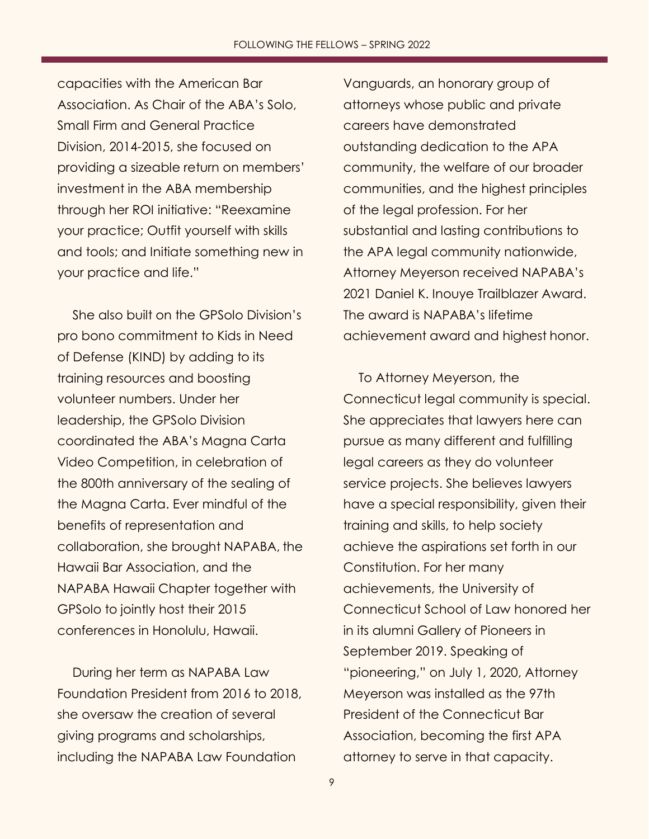capacities with the American Bar Association. As Chair of the ABA's Solo, Small Firm and General Practice Division, 2014-2015, she focused on providing a sizeable return on members' investment in the ABA membership through her ROI initiative: "Reexamine your practice; Outfit yourself with skills and tools; and Initiate something new in your practice and life."

She also built on the GPSolo Division's pro bono commitment to Kids in Need of Defense (KIND) by adding to its training resources and boosting volunteer numbers. Under her leadership, the GPSolo Division coordinated the ABA's Magna Carta Video Competition, in celebration of the 800th anniversary of the sealing of the Magna Carta. Ever mindful of the benefits of representation and collaboration, she brought NAPABA, the Hawaii Bar Association, and the NAPABA Hawaii Chapter together with GPSolo to jointly host their 2015 conferences in Honolulu, Hawaii.

During her term as NAPABA Law Foundation President from 2016 to 2018, she oversaw the creation of several giving programs and scholarships, including the NAPABA Law Foundation

Vanguards, an honorary group of attorneys whose public and private careers have demonstrated outstanding dedication to the APA community, the welfare of our broader communities, and the highest principles of the legal profession. For her substantial and lasting contributions to the APA legal community nationwide, Attorney Meyerson received NAPABA's 2021 Daniel K. Inouye Trailblazer Award. The award is NAPABA's lifetime achievement award and highest honor.

To Attorney Meyerson, the Connecticut legal community is special. She appreciates that lawyers here can pursue as many different and fulfilling legal careers as they do volunteer service projects. She believes lawyers have a special responsibility, given their training and skills, to help society achieve the aspirations set forth in our Constitution. For her many achievements, the University of Connecticut School of Law honored her in its alumni Gallery of Pioneers in September 2019. Speaking of "pioneering," on July 1, 2020, Attorney Meyerson was installed as the 97th President of the Connecticut Bar Association, becoming the first APA attorney to serve in that capacity.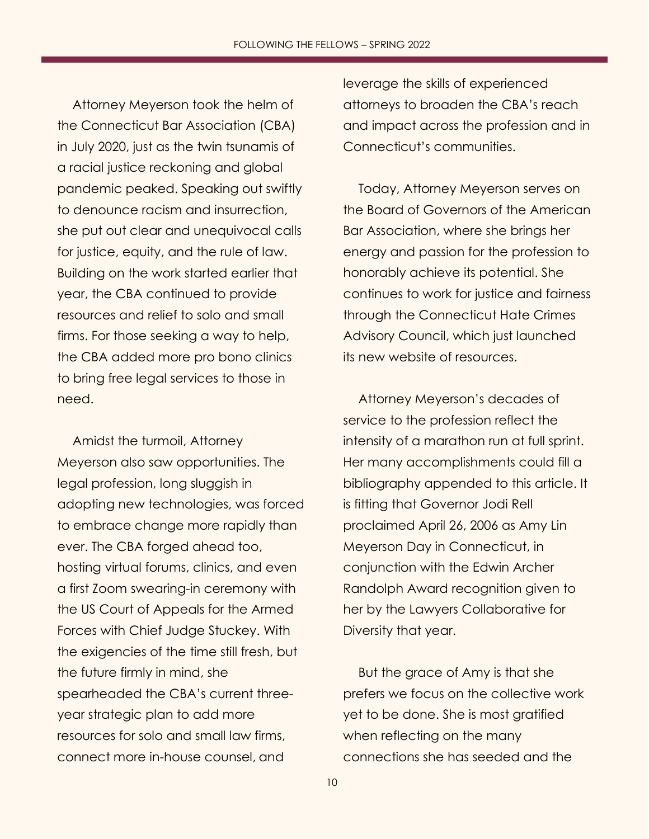Attorney Meyerson took the helm of the Connecticut Bar Association (CBA) in July 2020, just as the twin tsunamis of a racial justice reckoning and global pandemic peaked. Speaking out swiftly to denounce racism and insurrection, she put out clear and unequivocal calls for justice, equity, and the rule of law. Building on the work started earlier that year, the CBA continued to provide resources and relief to solo and small firms. For those seeking a way to help, the CBA added more pro bono clinics to bring free legal services to those in need.

Amidst the turmoil, Attorney Meyerson also saw opportunities. The legal profession, long sluggish in adopting new technologies, was forced to embrace change more rapidly than ever. The CBA forged ahead too, hosting virtual forums, clinics, and even a first Zoom swearing-in ceremony with the US Court of Appeals for the Armed Forces with Chief Judge Stuckey. With the exigencies of the time still fresh, but the future firmly in mind, she spearheaded the CBA's current threeyear strategic plan to add more resources for solo and small law firms, connect more in-house counsel, and

leverage the skills of experienced attorneys to broaden the CBA's reach and impact across the profession and in Connecticut's communities.

Today, Attorney Meyerson serves on the Board of Governors of the American Bar Association, where she brings her energy and passion for the profession to honorably achieve its potential. She continues to work for justice and fairness through the Connecticut Hate Crimes Advisory Council, which just launched its new website of resources.

Attorney Meyerson's decades of service to the profession reflect the intensity of a marathon run at full sprint. Her many accomplishments could fill a bibliography appended to this article. It is fitting that Governor Jodi Rell proclaimed April 26, 2006 as Amy Lin Meyerson Day in Connecticut, in conjunction with the Edwin Archer Randolph Award recognition given to her by the Lawyers Collaborative for Diversity that year.

But the grace of Amy is that she prefers we focus on the collective work yet to be done. She is most gratified when reflecting on the many connections she has seeded and the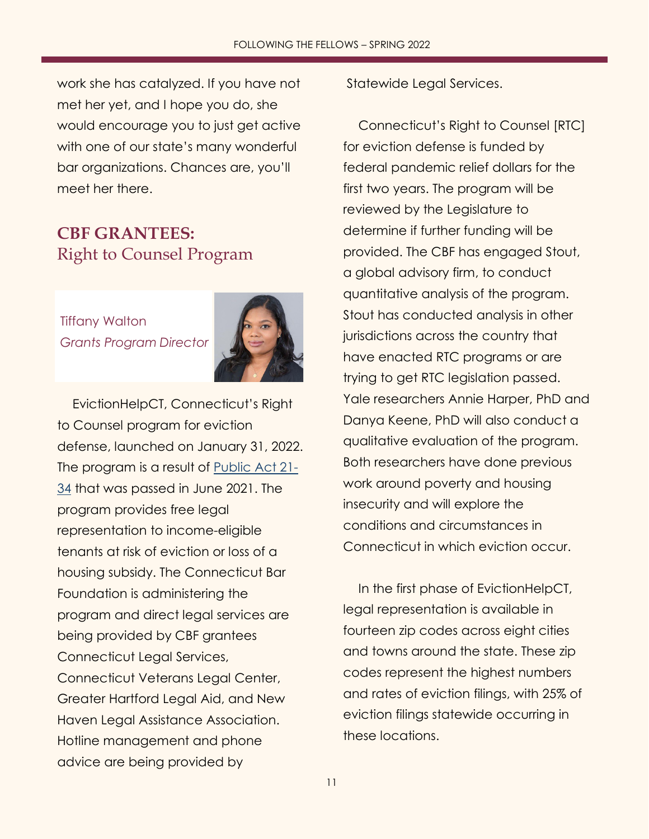work she has catalyzed. If you have not met her yet, and I hope you do, she would encourage you to just get active with one of our state's many wonderful bar organizations. Chances are, you'll meet her there.

## <span id="page-10-0"></span>**CBF GRANTEES:** Right to Counsel Program

Tiffany Walton *Grants Program Director*



EvictionHelpCT, Connecticut's Right to Counsel program for eviction defense, launched on January 31, 2022. The program is a result of [Public Act 21-](https://www.cga.ct.gov/2021/act/pa/pdf/2021PA-00034-R00HB-06531-PA.pdf) [34](https://www.cga.ct.gov/2021/act/pa/pdf/2021PA-00034-R00HB-06531-PA.pdf) that was passed in June 2021. The program provides free legal representation to income-eligible tenants at risk of eviction or loss of a housing subsidy. The Connecticut Bar Foundation is administering the program and direct legal services are being provided by CBF grantees Connecticut Legal Services, Connecticut Veterans Legal Center, Greater Hartford Legal Aid, and New Haven Legal Assistance Association. Hotline management and phone advice are being provided by

Statewide Legal Services.

Connecticut's Right to Counsel [RTC] for eviction defense is funded by federal pandemic relief dollars for the first two years. The program will be reviewed by the Legislature to determine if further funding will be provided. The CBF has engaged Stout, a global advisory firm, to conduct quantitative analysis of the program. Stout has conducted analysis in other jurisdictions across the country that have enacted RTC programs or are trying to get RTC legislation passed. Yale researchers Annie Harper, PhD and Danya Keene, PhD will also conduct a qualitative evaluation of the program. Both researchers have done previous work around poverty and housing insecurity and will explore the conditions and circumstances in Connecticut in which eviction occur.

In the first phase of EvictionHelpCT, legal representation is available in fourteen zip codes across eight cities and towns around the state. These zip codes represent the highest numbers and rates of eviction filings, with 25% of eviction filings statewide occurring in these locations.